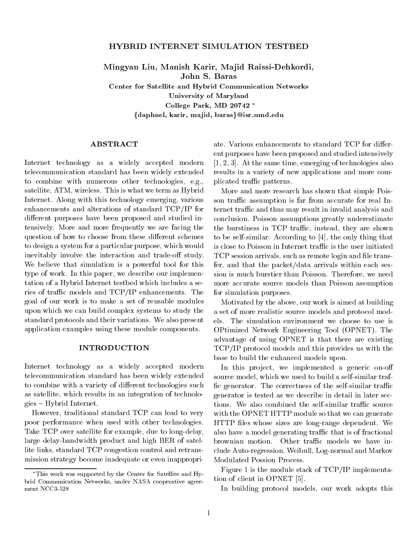## HYBRID INTERNET SIMULATION TESTBED

Mingyan Liu, Manish Karir, Majid Raissi-Dehkordi, John S. Baras Center for Satellite and Hybrid Communication NetworksUniversity of Maryland College Park, MD<sup>20742</sup> {daphnel, karir, majid, baras}@isr.umd.edu

## **ABSTRACT**

Internet technology as a widely accepted modern telecommunication standard has been widely extended to combine with numerous other technologies, e.g., satellite, ATM, wireless. This is what we term as Hybrid Internet. Along with this technology emerging, various enhancements and alterations of standard TCP/IP for different purposes have been proposed and studied intensively. More and more frequently we are facing the question of how to choose from these different schemes to design a system for a particular purpose, which would inevitably involve the interaction and trade-off study. We believe that simulation is a powerful tool for this type of work. In this paper, we describe our implementation of a Hybrid Internet testbed which includes a series of traffic models and  $TCP/IP$  enhancements. The goal of our work is to make a set of reusable modules upon which we can build complex systems to study the standard protocols and their variations. We also present application examples using these module components.

#### **INTRODUCTION**

Internet technology as a widely accepted modern telecommunication standard has been widely extended to combine with a variety of different technologies such as satellite, which results in an integration of technolo $gies - Hybrid Internet.$ 

However, traditional standard TCP can lead to very poor performance when used with other technologies. Take TCP over satellite for example, due to long-delay, large delay-bandwidth product and high BER of satellite links, standard TCP congestion control and retransmission strategy become inadequate or even inappropriate. Various enhancements to standard TCP for different purposes have been proposed and studied intensively [1, 2, 3]. At the same time, emerging of technologies also results in a variety of new applications and more complicated traffic patterns.

More and more research has shown that simple Poisson traffic assumption is far from accurate for real Internet traffic and thus may result in invalid analysis and conclusion. Poisson assumptions greatly underestimate the burstiness in TCP traffic, instead, they are shown to be self-similar. According to [4], the only thing that is close to Poisson in Internet traffic is the user initiated TCP session arrivals, such as remote login and file transfer, and that the packet/data arrivals within each session is much burstier than Poisson. Therefore, we need more accurate source models than Poisson assumption for simulation purposes.

Motivated by the above, our work is aimed at building a set of more realistic source models and protocol models. The simulation environment we choose to use is OPtimized Network Engineering Tool (OPNET). The advantage of using OPNET is that there are existing TCP/IP protocol models and this provides us with the base to build the enhanced models upon.

In this project, we implemented a generic on-off source model, which we used to build a self-similar traf fic generator. The correctness of the self-similar traffic generator is tested as we describe in detail in later sections. We also combined the self-similar traffic source with the OPNET HTTP module so that we can generate HTTP files whose sizes are long-range dependent. We also have a model generating traffic that is of fractional brownian motion. Other traffic models we have include Auto-regression, Weibull, Log-normal and Markov Modulated Possion Process.

Figure 1 is the module stack of TCP/IP implementation of client in OPNET [5].

In building protocol models, our work adopts this

This work was supported by the Center for Satellite and Hybrid Communication Networks, under NASA cooperative agree ment NCC3-528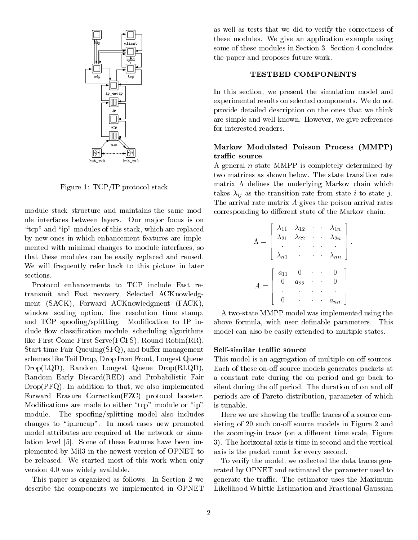

Figure 1: TCP/IP protocol stack

module stack structure and maintains the same module interfaces between layers. Our ma jor focus is on "tcp" and "ip" modules of this stack, which are replaced by new ones in which enhancement features are implemented with minimal changes to module interfaces, so that these modules can be easily replaced and reused. We will frequently refer back to this picture in later sections.

Protocol enhancements to TCP include Fast retransmit and Fast recovery, Selected ACKnowledgment (SACK), Forward ACKnowledgment (FACK), window scaling option, fine resolution time stamp, and TCP spoofing/splitting. Modification to IP include flow classification module, scheduling algorithms like First Come First Serve(FCFS), Round Robin(RR), Start-time Fair Queuing(SFQ), and buffer management Self-similar traffic source schemes like Tail Drop, Drop from Front, Longest Queue Drop(LQD), Random Longest Queue Drop(RLQD), Random Early Discard(RED) and Probabilistic Fair Drop(PFQ). In addition to that, we also implemented Forward Erasure Correction(FZC) protocol booster. Modifications are made to either "tcp" module or "ip" module. The spoofing/splitting model also includes changes to "ip\_encap". In most cases new promoted model attributes are required at the network or simulation level [5]. Some of these features have been implemented by Mil3 in the newest version of OPNET to be released. We started most of this work when only version 4.0 was widely available.

This paper is organized as follows. In Section 2 we describe the components we implemented in OPNET

as well as tests that we did to verify the correctness of these modules. We give an application example using some of these modules in Section 3. Section 4 concludes the paper and proposes future work.

## TESTBED COMPONENTS

In this section, we present the simulation model and experimental results on selected components. We do not provide detailed description on the ones that we think are simple and well-known. However, we give references for interested readers.

# Markov Modulated Poisson Process (MMPP) traffic source

A general n-state MMPP is completely determined by two matrices as shown below. The state transition rate matrix  $\Lambda$  defines the underlying Markov chain which takes  $\lambda_{ij}$  as the transition rate from state i to state j. The arrival rate matrix  $A$  gives the poison arrival rates corresponding to different state of the Markov chain.

$$
\Lambda = \begin{bmatrix} \lambda_{11} & \lambda_{12} & \cdots & \lambda_{1n} \\ \lambda_{21} & \lambda_{22} & \cdots & \lambda_{2n} \\ \vdots & \vdots & \ddots & \vdots \\ \lambda_{n1} & \cdots & \ddots & \lambda_{nn} \end{bmatrix},
$$
\n
$$
A = \begin{bmatrix} a_{11} & 0 & \cdots & 0 \\ 0 & a_{22} & \cdots & 0 \\ \vdots & \vdots & \ddots & \vdots \\ 0 & \cdots & a_{nn} \end{bmatrix}.
$$

A two-state MMPP model was implemented using the above formula, with user definable parameters. This model can also be easily extended to multiple states.

This model is an aggregation of multiple on-off sources. Each of these on-off source models generates packets at a constant rate during the on period and go back to silent during the off period. The duration of on and off periods are of Pareto distribution, parameter of which is tunable.

Here we are showing the traffic traces of a source consisting of 20 such on-off source models in Figure 2 and the zooming-in trace (on a different time scale, Figure 3). The horizontal axis is time in second and the vertical axis is the packet count for every second.

To verify the model, we collected the data traces generated by OPNET and estimated the parameter used to generate the traffic. The estimator uses the Maximum Likelihood Whittle Estimation and Fractional Gaussian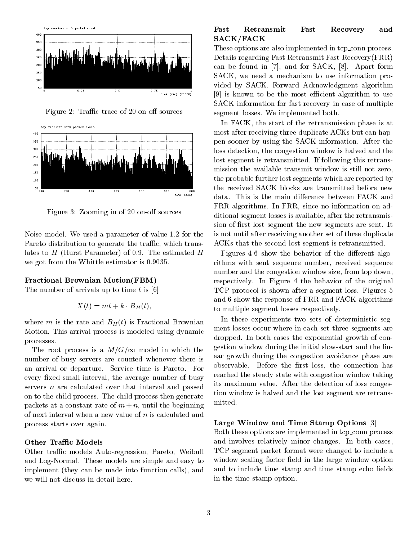

Figure 2: Traffic trace of 20 on-off sources



Figure 3: Zooming in of 20 on-off sources

Noise model. We used a parameter of value 1.2 for the Pareto distribution to generate the traffic, which translates to  $H$  (Hurst Parameter) of 0.9. The estimated  $H$ we got from the Whittle estimator is 0.9035.

## Fractional Brownian Motion(FBM)

The number of arrivals up to time t is  $[6]$ 

$$
X(t) = mt + k \cdot B_H(t),
$$

where m is the rate and  $B_H(t)$  is Fractional Brownian Motion, This arrival process is modeled using dynamic processes.

The root process is a  $M/G/\infty$  model in which the number of busy servers are counted whenever there is an arrival or departure. Service time is Pareto. For every fixed small interval, the average number of busy servers *n* are calculated over that interval and passed on to the child process. The child process then generate packets at a constant rate of  $m + n$ , until the beginning of next interval when a new value of n is calculated and process starts over again.

## Other Traffic Models

Other traffic models Auto-regression, Pareto, Weibull and Log-Normal. These models are simple and easy to implement (they can be made into function calls), and we will not discuss in detail here.

# Fast Retransmit Fast Recovery and SACK/FACK

These options are also implemented in tcp\_conn process. Details regarding Fast Retransmit Fast Recovery(FRR) can be found in [7], and for SACK, [8]. Apart form SACK, we need a mechanism to use information provided by SACK. Forward Acknowledgment algorithm [9] is known to be the most efficient algorithm to use SACK information for fast recovery in case of multiple segment losses. We implemented both.

In FACK, the start of the retransmission phase is at most after receiving three duplicate ACKs but can happen sooner by using the SACK information. After the loss detection, the congestion window is halved and the lost segment is retransmitted. If following this retransmission the available transmit window is still not zero, the probable further lost segments which are reported by the received SACK blocks are transmitted before new data. This is the main difference between FACK and FRR algorithms. In FRR, since no information on additional segment losses is available, after the retransmission of first lost segment the new segments are sent. It is not until after receiving another set of three duplicate ACKs that the second lost segment is retransmitted.

Figures 4-6 show the behavior of the different algorithms with sent sequence number, received sequence number and the congestion window size, from top down, respectively. In Figure 4 the behavior of the original TCP protocol is shown after a segment loss. Figures 5 and 6 show the response of FRR and FACK algorithms to multiple segment losses respectively.

In these experiments two sets of deterministic segment losses occur where in each set three segments are dropped. In both cases the exponential growth of congestion window during the initial slow-start and the linear growth during the congestion avoidance phase are observable. Before the first loss, the connection has reached the steady state with congestion window taking its maximum value. After the detection of loss congestion window is halved and the lost segment are retransmitted.

## Large Window and Time Stamp Options [3]

Both these options are implemented in tcp conn process and involves relatively minor changes. In both cases, TCP segment packet format were changed to include a window scaling factor field in the large window option and to include time stamp and time stamp echo fields in the time stamp option.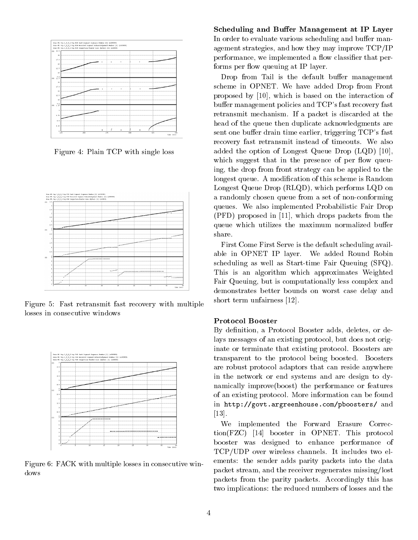

Figure 4: Plain TCP with single loss



Figure 5: Fast retransmit fast recovery with multiple losses in consecutive windows



Figure 6: FACK with multiple losses in consecutive windows

Scheduling and Buffer Management at IP Layer In order to evaluate various scheduling and buffer management strategies, and how they may improve TCP/IP performance, we implemented a flow classifier that performs per flow queuing at IP layer.

Drop from Tail is the default buffer management scheme in OPNET. We have added Drop from Front proposed by [10], which is based on the interaction of buffer management policies and TCP's fast recovery fast retransmit mechanism. If a packet is discarded at the head of the queue then duplicate acknowledgments are sent one buffer drain time earlier, triggering TCP's fast recovery fast retransmit instead of timeouts. We also added the option of Longest Queue Drop (LQD) [10], which suggest that in the presence of per flow queuing, the drop from front strategy can be applied to the longest queue. A modication of this scheme is Random Longest Queue Drop (RLQD), which performs LQD on a randomly chosen queue from a set of non-conforming queues. We also implemented Probabilistic Fair Drop (PFD) proposed in [11], which drops packets from the queue which utilizes the maximum normalized buffer share.

First Come First Serve is the default scheduling avail-First Come First Serve is the default scheduling available in OPNET IP layer. We added Round Robin scheduling as well as Start-time Fair Queuing (SFQ). This is an algorithm which approximates Weighted Fair Queuing, but is computationally less complex and demonstrates better bounds on worst case delay and short term unfairness [12].

## **Protocol Booster**

By definition, a Protocol Booster adds, deletes, or delays messages of an existing protocol, but does not originate or terminate that existing protocol. Boosters are transparent to the protocol being boosted. Boosters are robust protocol adaptors that can reside anywhere in the network or end systems and are design to dynamically improve(boost) the performance or features of an existing protocol. More information can be found in http://govt.argreenhouse.com/pboosters/ and [13].

We implemented the Forward Erasure Correction(FZC) [14] booster in OPNET. This protocol booster was designed to enhance performance of TCP/UDP over wireless channels. It includes two elements: the sender adds parity packets into the data packet stream, and the receiver regenerates missing/lost packets from the parity packets. Accordingly this has two implications: the reduced numbers of losses and the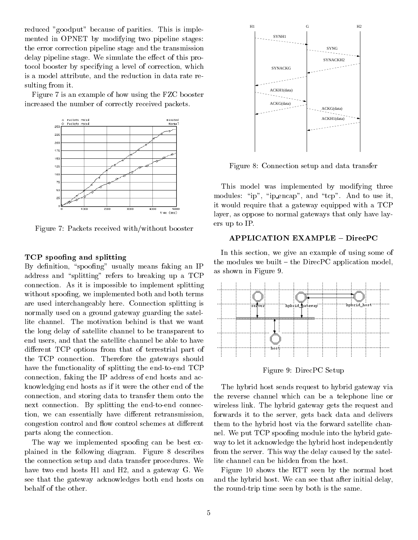reduced "goodput" because of parities. This is implemented in OPNET by modifying two pipeline stages: the error correction pipeline stage and the transmission delay pipeline stage. We simulate the effect of this protocol booster by specifying a level of correction, which is a model attribute, and the reduction in data rate resulting from it.

Figure 7 is an example of how using the FZC booster increased the number of correctly received packets.



Figure 7: Packets received with/without booster

### TCP spoofing and splitting

By definition, "spoofing" usually means faking an IP address and "splitting" refers to breaking up a TCP connection. As it is impossible to implement splitting without spoofing, we implemented both and both terms are used interchangeably here. Connection splitting is normally used on a ground gateway guarding the satellite channel. The motivation behind is that we want the long delay of satellite channel to be transparent to end users, and that the satellite channel be able to have different TCP options from that of terrestrial part of the TCP connection. Therefore the gateways should have the functionality of splitting the end-to-end TCP connection, faking the IP address of end hosts and acknowledging end hosts as if it were the other end of the connection, and storing data to transfer them onto the next connection. By splitting the end-to-end connection, we can essentially have different retransmission, congestion control and flow control schemes at different parts along the connection.

The way we implemented spoofing can be best explained in the following diagram. Figure 8 describes the connection setup and data transfer procedures. We have two end hosts H1 and H2, and a gateway G. We see that the gateway acknowledges both end hosts on behalf of the other.



Figure 8: Connection setup and data transfer

This model was implemented by modifying three modules: " $ip$ ", " $ip\_encap$ ", and " $tcp$ ". And to use it, it would require that a gateway equipped with a TCP layer, as oppose to normal gateways that only have layers up to IP.

### **APPLICATION EXAMPLE - DirecPC**

In this section, we give an example of using some of the modules we built  $-$  the DirecPC application model, as shown in Figure 9.



Figure 9: DirecPC Setup

The hybrid host sends request to hybrid gateway via the reverse channel which can be a telephone line or wireless link. The hybrid gateway gets the request and forwards it to the server, gets back data and delivers them to the hybrid host via the forward satellite channel. We put TCP spoofing module into the hybrid gateway to let it acknowledge the hybrid host independently from the server. This way the delay caused by the satellite channel can be hidden from the host.

Figure 10 shows the RTT seen by the normal host and the hybrid host. We can see that after initial delay, the round-trip time seen by both is the same.